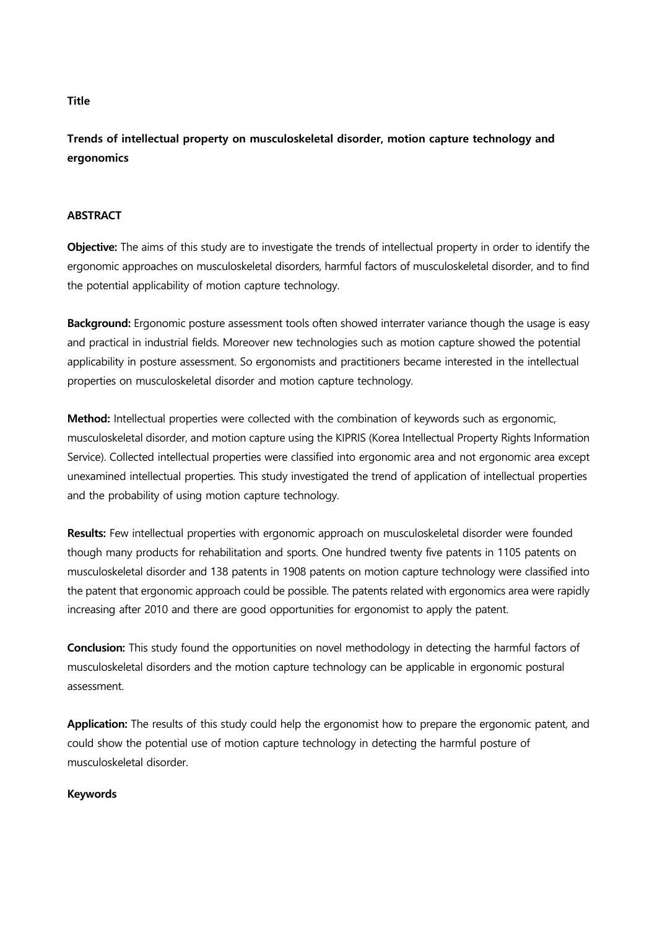### **Title**

**Trends of intellectual property on musculoskeletal disorder, motion capture technology and ergonomics** 

## **ABSTRACT**

**Objective:** The aims of this study are to investigate the trends of intellectual property in order to identify the ergonomic approaches on musculoskeletal disorders, harmful factors of musculoskeletal disorder, and to find the potential applicability of motion capture technology.

**Background:** Ergonomic posture assessment tools often showed interrater variance though the usage is easy and practical in industrial fields. Moreover new technologies such as motion capture showed the potential applicability in posture assessment. So ergonomists and practitioners became interested in the intellectual properties on musculoskeletal disorder and motion capture technology.

**Method:** Intellectual properties were collected with the combination of keywords such as ergonomic, musculoskeletal disorder, and motion capture using the KIPRIS (Korea Intellectual Property Rights Information Service). Collected intellectual properties were classified into ergonomic area and not ergonomic area except unexamined intellectual properties. This study investigated the trend of application of intellectual properties and the probability of using motion capture technology.

**Results:** Few intellectual properties with ergonomic approach on musculoskeletal disorder were founded though many products for rehabilitation and sports. One hundred twenty five patents in 1105 patents on musculoskeletal disorder and 138 patents in 1908 patents on motion capture technology were classified into the patent that ergonomic approach could be possible. The patents related with ergonomics area were rapidly increasing after 2010 and there are good opportunities for ergonomist to apply the patent.

**Conclusion:** This study found the opportunities on novel methodology in detecting the harmful factors of musculoskeletal disorders and the motion capture technology can be applicable in ergonomic postural assessment.

**Application:** The results of this study could help the ergonomist how to prepare the ergonomic patent, and could show the potential use of motion capture technology in detecting the harmful posture of musculoskeletal disorder.

# **Keywords**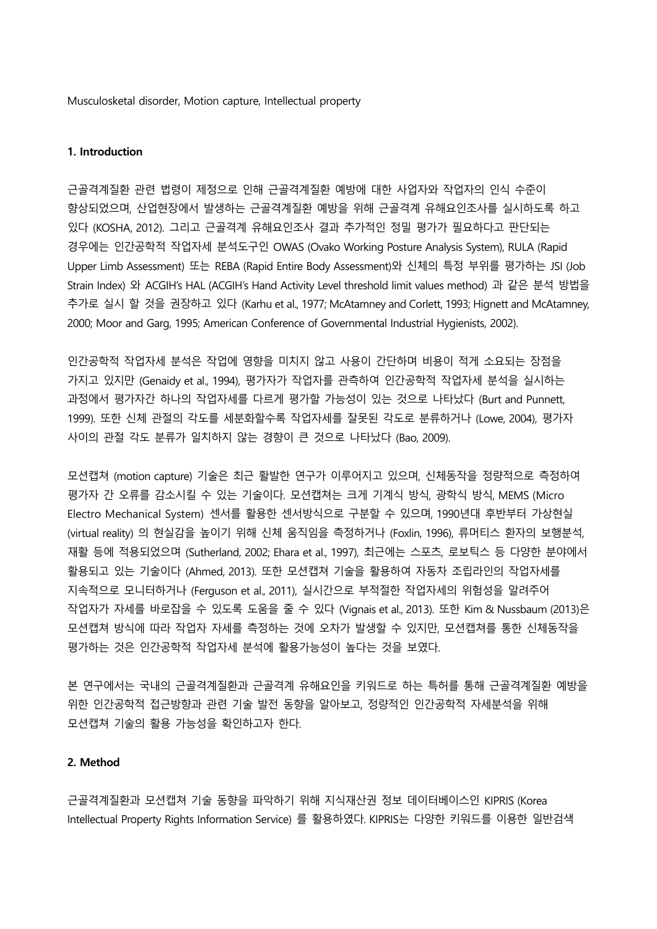Musculosketal disorder, Motion capture, Intellectual property

## **1. Introduction**

근골격계질환 관련 법령이 제정으로 인해 근골격계질환 예방에 대한 사업자와 작업자의 인식 수준이 향상되었으며, 산업현장에서 발생하는 근골격계질환 예방을 위해 근골격계 유해요인조사를 실시하도록 하고 있다 (KOSHA, 2012). 그리고 근골격계 유해요인조사 결과 추가적인 정밀 평가가 필요하다고 판단되는 경우에는 인간공학적 작업자세 분석도구인 OWAS (Ovako Working Posture Analysis System), RULA (Rapid Upper Limb Assessment) 또는 REBA (Rapid Entire Body Assessment)와 신체의 특정 부위를 평가하는 JSI (Job Strain Index) 와 ACGIH's HAL (ACGIH's Hand Activity Level threshold limit values method) 과 같은 분석 방법을 추가로 실시 할 것을 권장하고 있다 (Karhu et al., 1977; McAtamney and Corlett, 1993; Hignett and McAtamney, 2000; Moor and Garg, 1995; American Conference of Governmental Industrial Hygienists, 2002).

인간공학적 작업자세 분석은 작업에 영향을 미치지 않고 사용이 간단하며 비용이 적게 소요되는 장점을 가지고 있지만 (Genaidy et al., 1994), 평가자가 작업자를 관측하여 인간공학적 작업자세 분석을 실시하는 과정에서 평가자간 하나의 작업자세를 다르게 평가할 가능성이 있는 것으로 나타났다 (Burt and Punnett, 1999). 또한 신체 관절의 각도를 세분화할수록 작업자세를 잘못된 각도로 분류하거나 (Lowe, 2004), 평가자 사이의 관절 각도 분류가 일치하지 않는 경향이 큰 것으로 나타났다 (Bao, 2009).

모션캡쳐 (motion capture) 기술은 최근 활발한 연구가 이루어지고 있으며, 신체동작을 정량적으로 측정하여 평가자 간 오류를 감소시킬 수 있는 기술이다. 모션캡쳐는 크게 기계식 방식, 광학식 방식, MEMS (Micro Electro Mechanical System) 센서를 활용한 센서방식으로 구분할 수 있으며, 1990년대 후반부터 가상현실 (virtual reality) 의 현실감을 높이기 위해 신체 움직임을 측정하거나 (Foxlin, 1996), 류머티스 환자의 보행분석, 재활 등에 적용되었으며 (Sutherland, 2002; Ehara et al., 1997), 최근에는 스포츠, 로보틱스 등 다양한 분야에서 활용되고 있는 기술이다 (Ahmed, 2013). 또한 모션캡쳐 기술을 활용하여 자동차 조립라인의 작업자세를 지속적으로 모니터하거나 (Ferguson et al., 2011), 실시간으로 부적절한 작업자세의 위험성을 알려주어 작업자가 자세를 바로잡을 수 있도록 도움을 줄 수 있다 (Vignais et al., 2013). 또한 Kim & Nussbaum (2013)은 모션캡쳐 방식에 따라 작업자 자세를 측정하는 것에 오차가 발생할 수 있지만, 모션캡쳐를 통한 신체동작을 평가하는 것은 인간공학적 작업자세 분석에 활용가능성이 높다는 것을 보였다.

본 연구에서는 국내의 근골격계질환과 근골격계 유해요인을 키워드로 하는 특허를 통해 근골격계질환 예방을 위한 인간공학적 접근방향과 관련 기술 발전 동향을 알아보고, 정량적인 인간공학적 자세분석을 위해 모션캡쳐 기술의 활용 가능성을 확인하고자 한다.

### **2. Method**

근골격계질환과 모션캡쳐 기술 동향을 파악하기 위해 지식재산권 정보 데이터베이스인 KIPRIS (Korea Intellectual Property Rights Information Service) 를 활용하였다. KIPRIS는 다양한 키워드를 이용한 일반검색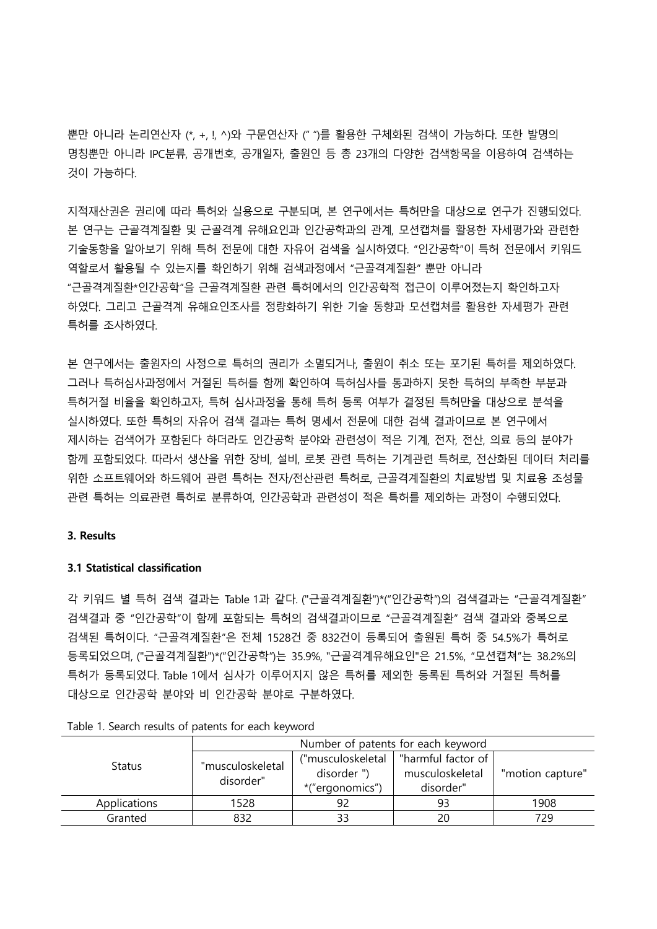뿐만 아니라 논리연산자 (\*, +, !, ^)와 구문연산자 (" ")를 활용한 구체화된 검색이 가능하다. 또한 발명의 명칭뿐만 아니라 IPC분류, 공개번호, 공개일자, 출원인 등 총 23개의 다양한 검색항목을 이용하여 검색하는 것이 가능하다.

지적재산권은 권리에 따라 특허와 실용으로 구분되며, 본 연구에서는 특허만을 대상으로 연구가 진행되었다. 본 연구는 근골격계질환 및 근골격계 유해요인과 인간공학과의 관계, 모션캡쳐를 활용한 자세평가와 관련한 기술동향을 알아보기 위해 특허 전문에 대한 자유어 검색을 실시하였다. "인간공학"이 특허 전문에서 키워드 역할로서 활용될 수 있는지를 확인하기 위해 검색과정에서 "근골격계질환" 뿐만 아니라 "근골격계질환\*인간공학"을 근골격계질환 관련 특허에서의 인간공학적 접근이 이루어졌는지 확인하고자 하였다. 그리고 근골격계 유해요인조사를 정량화하기 위한 기술 동향과 모션캡쳐를 활용한 자세평가 관련 특허를 조사하였다.

본 연구에서는 출원자의 사정으로 특허의 권리가 소멸되거나, 출원이 취소 또는 포기된 특허를 제외하였다. 그러나 특허심사과정에서 거절된 특허를 함께 확인하여 특허심사를 통과하지 못한 특허의 부족한 부분과 특허거절 비율을 확인하고자, 특허 심사과정을 통해 특허 등록 여부가 결정된 특허만을 대상으로 분석을 실시하였다. 또한 특허의 자유어 검색 결과는 특허 명세서 전문에 대한 검색 결과이므로 본 연구에서 제시하는 검색어가 포함된다 하더라도 인간공학 분야와 관련성이 적은 기계, 전자, 전산, 의료 등의 분야가 함께 포함되었다. 따라서 생산을 위한 장비, 설비, 로봇 관련 특허는 기계관련 특허로, 전산화된 데이터 처리를 위한 소프트웨어와 하드웨어 관련 특허는 전자/전산관련 특허로, 근골격계질환의 치료방법 및 치료용 조성물 관련 특허는 의료관련 특허로 분류하여, 인간공학과 관련성이 적은 특허를 제외하는 과정이 수행되었다.

### **3. Results**

#### **3.1 Statistical classification**

각 키워드 별 특허 검색 결과는 Table 1과 같다. ("근골격계질환")\*("인간공학")의 검색결과는 "근골격계질환" 검색결과 중 "인간공학"이 함께 포함되는 특허의 검색결과이므로 "근골격계질환" 검색 결과와 중복으로 검색된 특허이다. "근골격계질환"은 전체 1528건 중 832건이 등록되어 출원된 특허 중 54.5%가 특허로 등록되었으며, ("근골격계질환")\*("인간공학")는 35.9%, "근골격계유해요인"은 21.5%, "모션캡쳐"는 38.2%의 특허가 등록되었다. Table 1에서 심사가 이루어지지 않은 특허를 제외한 등록된 특허와 거절된 특허를 대상으로 인간공학 분야와 비 인간공학 분야로 구분하였다.

| <b>Status</b> | Number of patents for each keyword |                   |                    |                  |  |
|---------------|------------------------------------|-------------------|--------------------|------------------|--|
|               | "musculoskeletal<br>disorder"      | ("musculoskeletal | "harmful factor of |                  |  |
|               |                                    | disorder")        | musculoskeletal    | "motion capture" |  |
|               |                                    | *("ergonomics")   | disorder"          |                  |  |
| Applications  | 1528                               |                   | 93                 | 1908             |  |
| Granted       | 832                                |                   | 20                 | 729              |  |

Table 1. Search results of patents for each keyword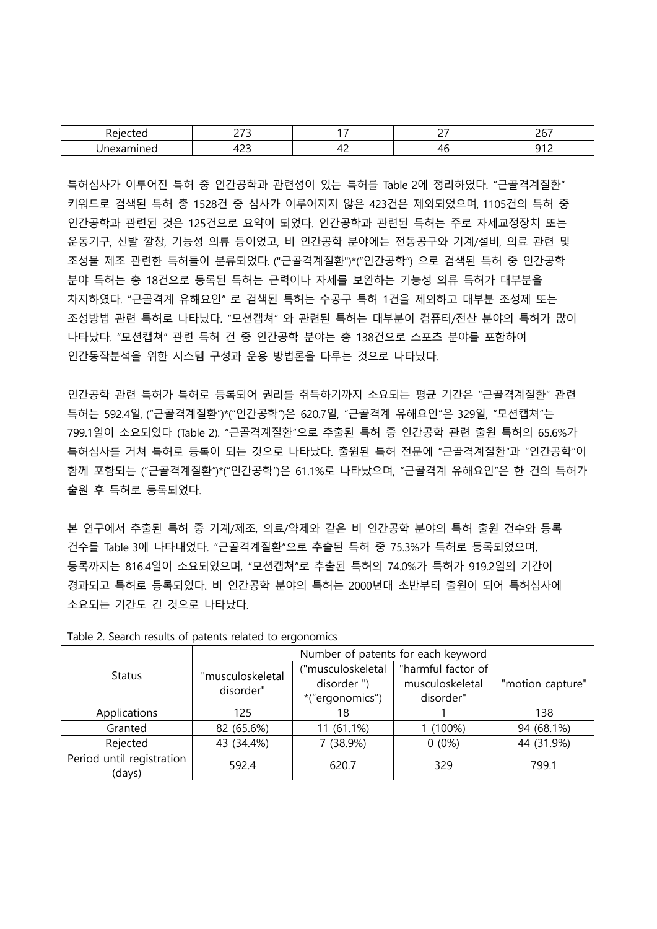|         | $\sim$ $\sim$ $\sim$<br>- |    | - -<br>- | $\sim$ $\sim$ $\sim$ |
|---------|---------------------------|----|----------|----------------------|
| _______ | $\sim$                    | -- | $\sim$   | --                   |

특허심사가 이루어진 특허 중 인간공학과 관련성이 있는 특허를 Table 2에 정리하였다. "근골격계질환" 키워드로 검색된 특허 총 1528건 중 심사가 이루어지지 않은 423건은 제외되었으며, 1105건의 특허 중 인간공학과 관련된 것은 125건으로 요약이 되었다. 인간공학과 관련된 특허는 주로 자세교정장치 또는 운동기구, 신발 깔창, 기능성 의류 등이었고, 비 인간공학 분야에는 전동공구와 기계/설비, 의료 관련 및 조성물 제조 관련한 특허들이 분류되었다. ("근골격계질환")\*("인간공학") 으로 검색된 특허 중 인간공학 분야 특허는 총 18건으로 등록된 특허는 근력이나 자세를 보완하는 기능성 의류 특허가 대부분을 차지하였다. "근골격계 유해요인" 로 검색된 특허는 수공구 특허 1건을 제외하고 대부분 조성제 또는 조성방법 관련 특허로 나타났다. "모션캡쳐" 와 관련된 특허는 대부분이 컴퓨터/전산 분야의 특허가 많이 나타났다. "모션캡쳐" 관련 특허 건 중 인간공학 분야는 총 138건으로 스포츠 분야를 포함하여 인간동작분석을 위한 시스템 구성과 운용 방법론을 다루는 것으로 나타났다.

인간공학 관련 특허가 특허로 등록되어 권리를 취득하기까지 소요되는 평균 기간은 "근골격계질환" 관련 특허는 592.4일, ("근골격계질환")\*("인간공학")은 620.7일, "근골격계 유해요인"은 329일, "모션캡쳐"는 799.1일이 소요되었다 (Table 2). "근골격계질환"으로 추출된 특허 중 인간공학 관련 출원 특허의 65.6%가 특허심사를 거쳐 특허로 등록이 되는 것으로 나타났다. 출원된 특허 전문에 "근골격계질환"과 "인간공학"이 함께 포함되는 ("근골격계질환")\*("인간공학")은 61.1%로 나타났으며, "근골격계 유해요인"은 한 건의 특허가 출원 후 특허로 등록되었다.

본 연구에서 추출된 특허 중 기계/제조, 의료/약제와 같은 비 인간공학 분야의 특허 출원 건수와 등록 건수를 Table 3에 나타내었다. "근골격계질환"으로 추출된 특허 중 75.3%가 특허로 등록되었으며, 등록까지는 816.4일이 소요되었으며, "모션캡쳐"로 추출된 특허의 74.0%가 특허가 919.2일의 기간이 경과되고 특허로 등록되었다. 비 인간공학 분야의 특허는 2000년대 초반부터 출원이 되어 특허심사에 소요되는 기간도 긴 것으로 나타났다.

|                           | Number of patents for each keyword |                   |                    |                  |  |
|---------------------------|------------------------------------|-------------------|--------------------|------------------|--|
| <b>Status</b>             | "musculoskeletal<br>disorder"      | ("musculoskeletal | "harmful factor of |                  |  |
|                           |                                    | disorder")        | musculoskeletal    | "motion capture" |  |
|                           |                                    | *("ergonomics")   | disorder"          |                  |  |
| Applications<br>125       |                                    | 18                |                    | 138              |  |
| Granted                   | 82 (65.6%)                         | $11(61.1\%)$      | 1 (100%)           | 94 (68.1%)       |  |
| 43 (34.4%)<br>Rejected    |                                    | 7 (38.9%)         | $0(0\%)$           | 44 (31.9%)       |  |
| Period until registration | 592.4                              | 620.7             | 329                | 799.1            |  |
| (days)                    |                                    |                   |                    |                  |  |

Table 2. Search results of patents related to ergonomics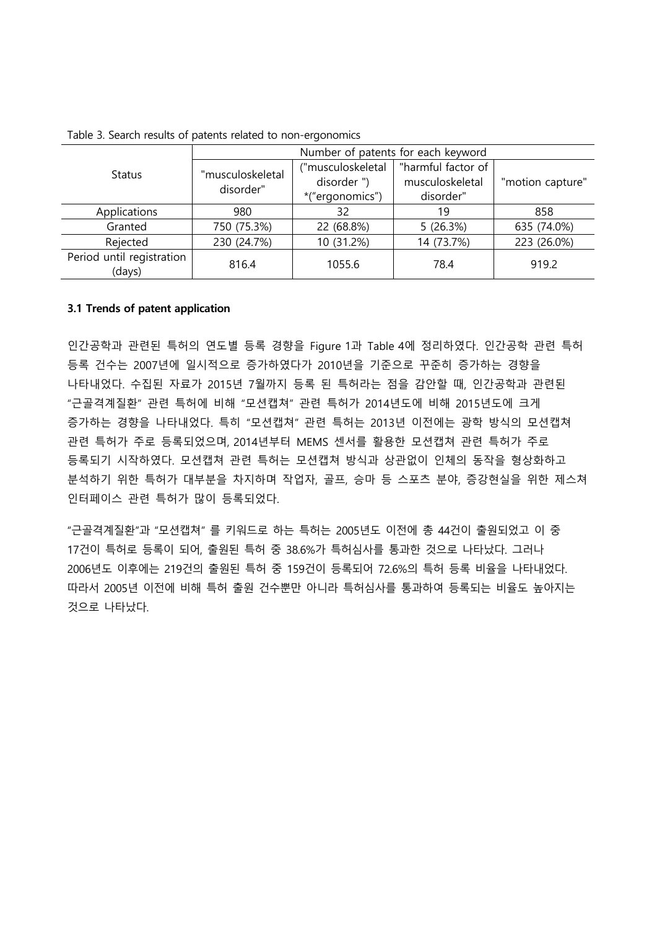|                                              | Number of patents for each keyword |                   |                    |                  |  |
|----------------------------------------------|------------------------------------|-------------------|--------------------|------------------|--|
| <b>Status</b>                                | "musculoskeletal<br>disorder"      | ("musculoskeletal | "harmful factor of |                  |  |
|                                              |                                    | disorder")        | musculoskeletal    | "motion capture" |  |
|                                              |                                    | *("ergonomics")   | disorder"          |                  |  |
| Applications<br>980                          |                                    | 32                | 19                 | 858              |  |
| Granted                                      | 750 (75.3%)                        | 22 (68.8%)        | 5(26.3%)           | 635 (74.0%)      |  |
| Rejected                                     | 230 (24.7%)                        | 10 (31.2%)        | 14 (73.7%)         | 223 (26.0%)      |  |
| Period until registration<br>816.4<br>(days) |                                    | 1055.6            | 78.4               | 919.2            |  |

Table 3. Search results of patents related to non-ergonomics

## **3.1 Trends of patent application**

인간공학과 관련된 특허의 연도별 등록 경향을 Figure 1과 Table 4에 정리하였다. 인간공학 관련 특허 등록 건수는 2007년에 일시적으로 증가하였다가 2010년을 기준으로 꾸준히 증가하는 경향을 나타내었다. 수집된 자료가 2015년 7월까지 등록 된 특허라는 점을 감안할 때, 인간공학과 관련된 "근골격계질환" 관련 특허에 비해 "모션캡쳐" 관련 특허가 2014년도에 비해 2015년도에 크게 증가하는 경향을 나타내었다. 특히 "모션캡쳐" 관련 특허는 2013년 이전에는 광학 방식의 모션캡쳐 관련 특허가 주로 등록되었으며, 2014년부터 MEMS 센서를 활용한 모션캡쳐 관련 특허가 주로 등록되기 시작하였다. 모션캡쳐 관련 특허는 모션캡쳐 방식과 상관없이 인체의 동작을 형상화하고 분석하기 위한 특허가 대부분을 차지하며 작업자, 골프, 승마 등 스포츠 분야, 증강현실을 위한 제스쳐 인터페이스 관련 특허가 많이 등록되었다.

"근골격계질환"과 "모션캡쳐" 를 키워드로 하는 특허는 2005년도 이전에 총 44건이 출원되었고 이 중 17건이 특허로 등록이 되어, 출원된 특허 중 38.6%가 특허심사를 통과한 것으로 나타났다. 그러나 2006년도 이후에는 219건의 출원된 특허 중 159건이 등록되어 72.6%의 특허 등록 비율을 나타내었다. 따라서 2005년 이전에 비해 특허 출원 건수뿐만 아니라 특허심사를 통과하여 등록되는 비율도 높아지는 것으로 나타났다.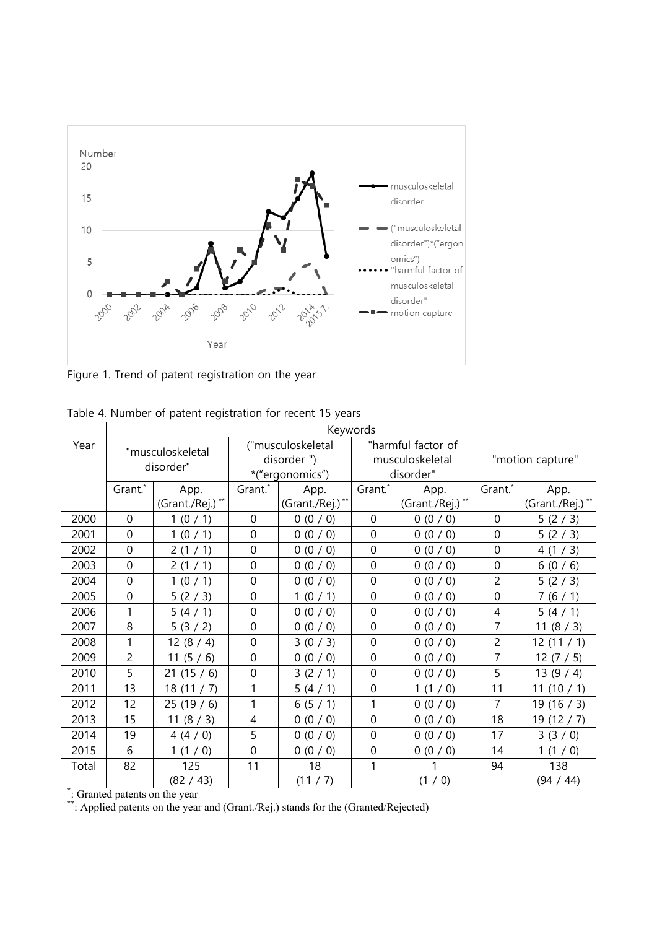

Figure 1. Trend of patent registration on the year

|       | Keywords                      |                 |                                 |                 |                                       |                  |                  |                 |
|-------|-------------------------------|-----------------|---------------------------------|-----------------|---------------------------------------|------------------|------------------|-----------------|
| Year  | "musculoskeletal<br>disorder" |                 | ("musculoskeletal<br>disorder") |                 | "harmful factor of<br>musculoskeletal |                  | "motion capture" |                 |
|       |                               |                 | *("ergonomics")                 |                 | disorder"                             |                  |                  |                 |
|       | Grant.*                       | App.            | Grant.*                         | App.            | Grant.*                               | App.             | Grant.*          | App.            |
|       |                               | (Grant./Rej.)** |                                 | (Grant./Rej.)** |                                       | (Grant./Rej.) ** |                  | (Grant./Rej.)** |
| 2000  | $\overline{0}$                | 1(0/1)          | $\mathbf{0}$                    | 0(0/0)          | $\mathbf 0$                           | 0(0/0)           | $\mathbf 0$      | 5(2/3)          |
| 2001  | 0                             | 1(0/1)          | $\mathbf{0}$                    | 0(0/0)          | $\mathbf 0$                           | 0(0/0)           | $\mathbf 0$      | 5(2/3)          |
| 2002  | $\overline{0}$                | 2(1/1)          | $\mathbf 0$                     | 0(0/0)          | $\mathbf 0$                           | 0(0/0)           | $\mathbf 0$      | 4(1/3)          |
| 2003  | $\overline{0}$                | 2(1/1)          | $\overline{0}$                  | 0(0/0)          | $\mathbf 0$                           | 0(0/0)           | $\overline{0}$   | 6(0/6)          |
| 2004  | $\overline{0}$                | 1(0/1)          | $\mathbf 0$                     | 0(0/0)          | $\overline{0}$                        | 0(0/0)           | $\overline{c}$   | 5(2/3)          |
| 2005  | $\mathbf 0$                   | 5(2/3)          | $\mathbf 0$                     | 1(0/1)          | $\mathbf 0$                           | 0(0/0)           | $\mathbf 0$      | 7(6/1)          |
| 2006  | 1                             | 5(4/1)          | $\mathbf 0$                     | 0(0/0)          | $\overline{0}$                        | 0(0/0)           | 4                | 5(4/1)          |
| 2007  | 8                             | 5(3/2)          | $\overline{0}$                  | 0(0/0)          | $\overline{0}$                        | 0(0/0)           | 7                | 11 $(8 / 3)$    |
| 2008  | 1                             | 12(8/4)         | $\overline{0}$                  | 3(0/3)          | 0                                     | 0(0/0)           | $\overline{2}$   | 12(11/1)        |
| 2009  | 2                             | 11 $(5/6)$      | $\mathbf 0$                     | 0(0/0)          | $\mathbf 0$                           | 0(0/0)           | 7                | 12(7/5)         |
| 2010  | 5                             | 21(15/6)        | $\mathbf 0$                     | 3(2/1)          | $\overline{0}$                        | 0(0/0)           | 5                | 13(9/4)         |
| 2011  | 13                            | 18(11/7)        | 1                               | 5(4/1)          | $\overline{0}$                        | 1(1/0)           | 11               | 11(10/1)        |
| 2012  | 12                            | 25(19/6)        | 1                               | 6(5/1)          | 1                                     | 0(0/0)           | 7                | 19(16/3)        |
| 2013  | 15                            | 11 $(8 / 3)$    | 4                               | 0(0/0)          | $\overline{0}$                        | 0(0/0)           | 18               | 19(12/7)        |
| 2014  | 19                            | 4(4/0)          | 5                               | 0(0/0)          | $\overline{0}$                        | 0(0/0)           | 17               | 3(3/0)          |
| 2015  | 6                             | 1(1/0)          | $\overline{0}$                  | 0(0/0)          | $\overline{0}$                        | 0(0/0)           | 14               | 1(1/0)          |
| Total | 82                            | 125             | 11                              | 18              | 1                                     | 1                | 94               | 138             |
|       |                               | (82 / 43)       |                                 | (11 / 7)        |                                       | (1/0)            |                  | (94 / 44)       |

\* : Granted patents on the year

\*\*: Applied patents on the year and (Grant./Rej.) stands for the (Granted/Rejected)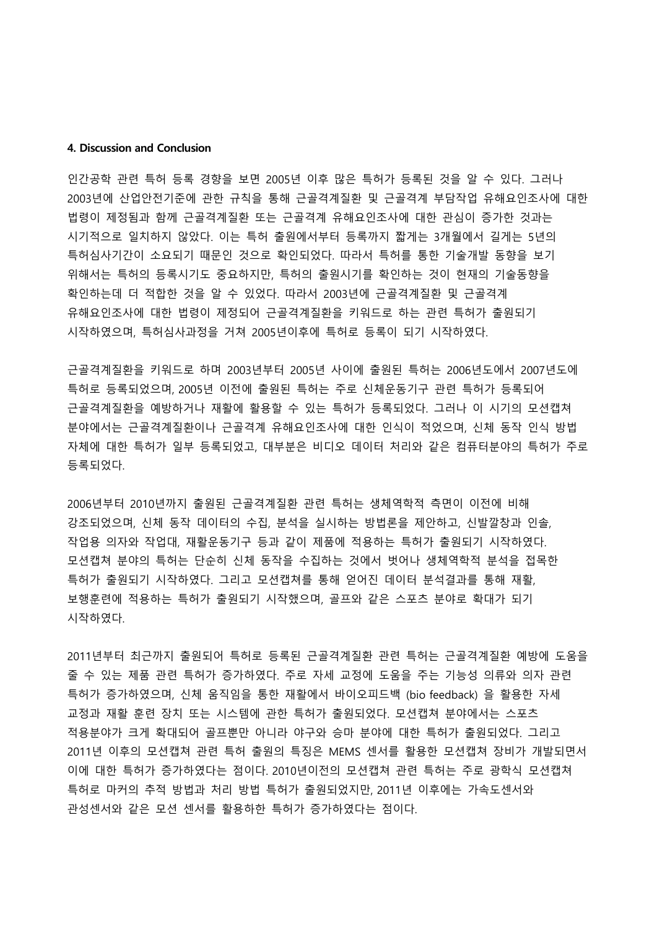#### **4. Discussion and Conclusion**

인간공학 관련 특허 등록 경향을 보면 2005년 이후 많은 특허가 등록된 것을 알 수 있다. 그러나 2003년에 산업안전기준에 관한 규칙을 통해 근골격계질환 및 근골격계 부담작업 유해요인조사에 대한 법령이 제정됨과 함께 근골격계질환 또는 근골격계 유해요인조사에 대한 관심이 증가한 것과는 시기적으로 일치하지 않았다. 이는 특허 출원에서부터 등록까지 짧게는 3개월에서 길게는 5년의 특허심사기간이 소요되기 때문인 것으로 확인되었다. 따라서 특허를 통한 기술개발 동향을 보기 위해서는 특허의 등록시기도 중요하지만, 특허의 출원시기를 확인하는 것이 현재의 기술동향을 확인하는데 더 적합한 것을 알 수 있었다. 따라서 2003년에 근골격계질환 및 근골격계 유해요인조사에 대한 법령이 제정되어 근골격계질환을 키워드로 하는 관련 특허가 출원되기 시작하였으며, 특허심사과정을 거쳐 2005년이후에 특허로 등록이 되기 시작하였다.

근골격계질환을 키워드로 하며 2003년부터 2005년 사이에 출원된 특허는 2006년도에서 2007년도에 특허로 등록되었으며, 2005년 이전에 출원된 특허는 주로 신체운동기구 관련 특허가 등록되어 근골격계질환을 예방하거나 재활에 활용할 수 있는 특허가 등록되었다. 그러나 이 시기의 모션캡쳐 분야에서는 근골격계질환이나 근골격계 유해요인조사에 대한 인식이 적었으며, 신체 동작 인식 방법 자체에 대한 특허가 일부 등록되었고, 대부분은 비디오 데이터 처리와 같은 컴퓨터분야의 특허가 주로 등록되었다.

2006년부터 2010년까지 출원된 근골격계질환 관련 특허는 생체역학적 측면이 이전에 비해 강조되었으며, 신체 동작 데이터의 수집, 분석을 실시하는 방법론을 제안하고, 신발깔창과 인솔, 작업용 의자와 작업대, 재활운동기구 등과 같이 제품에 적용하는 특허가 출원되기 시작하였다. 모션캡쳐 분야의 특허는 단순히 신체 동작을 수집하는 것에서 벗어나 생체역학적 분석을 접목한 특허가 출원되기 시작하였다. 그리고 모션캡쳐를 통해 얻어진 데이터 분석결과를 통해 재활, 보행훈련에 적용하는 특허가 출원되기 시작했으며, 골프와 같은 스포츠 분야로 확대가 되기 시작하였다.

2011년부터 최근까지 출원되어 특허로 등록된 근골격계질환 관련 특허는 근골격계질환 예방에 도움을 줄 수 있는 제품 관련 특허가 증가하였다. 주로 자세 교정에 도움을 주는 기능성 의류와 의자 관련 특허가 증가하였으며, 신체 움직임을 통한 재활에서 바이오피드백 (bio feedback) 을 활용한 자세 교정과 재활 훈련 장치 또는 시스템에 관한 특허가 출원되었다. 모션캡쳐 분야에서는 스포츠 적용분야가 크게 확대되어 골프뿐만 아니라 야구와 승마 분야에 대한 특허가 출원되었다. 그리고 2011년 이후의 모션캡쳐 관련 특허 출원의 특징은 MEMS 센서를 활용한 모션캡쳐 장비가 개발되면서 이에 대한 특허가 증가하였다는 점이다. 2010년이전의 모션캡쳐 관련 특허는 주로 광학식 모션캡쳐 특허로 마커의 추적 방법과 처리 방법 특허가 출원되었지만, 2011년 이후에는 가속도센서와 관성센서와 같은 모션 센서를 활용하한 특허가 증가하였다는 점이다.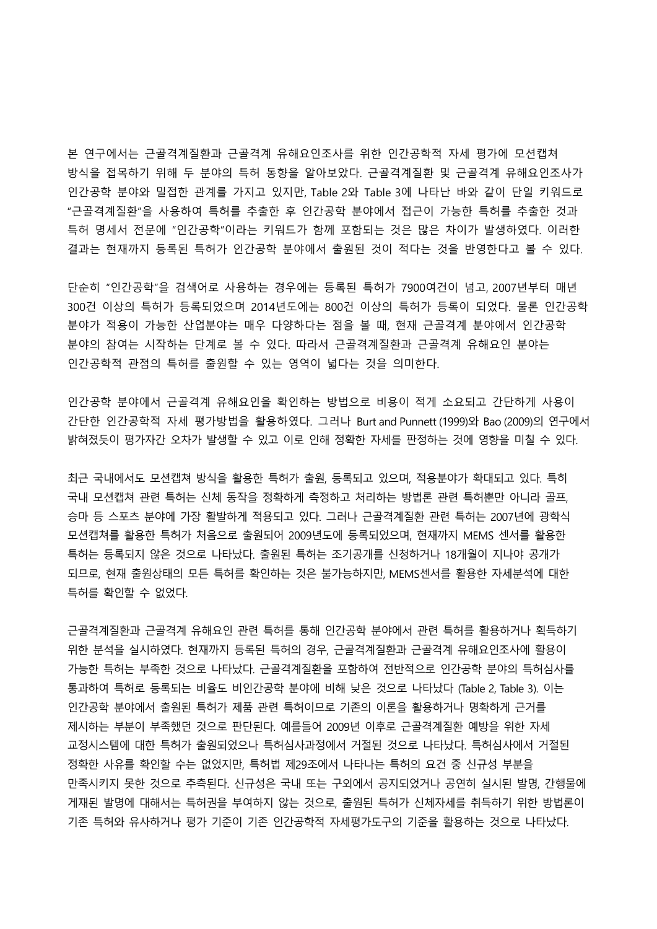본 연구에서는 근골격계질환과 근골격계 유해요인조사를 위한 인간공학적 자세 평가에 모션캡쳐 방식을 접목하기 위해 두 분야의 특허 동향을 알아보았다. 근골격계질환 및 근골격계 유해요인조사가 인간공학 분야와 밀접한 관계를 가지고 있지만, Table 2와 Table 3에 나타난 바와 같이 단일 키워드로 "근골격계질환"을 사용하여 특허를 추출한 후 인간공학 분야에서 접근이 가능한 특허를 추출한 것과 특허 명세서 전문에 "인간공학"이라는 키워드가 함께 포함되는 것은 많은 차이가 발생하였다. 이러한 결과는 현재까지 등록된 특허가 인간공학 분야에서 출원된 것이 적다는 것을 반영한다고 볼 수 있다.

단순히 "인간공학"을 검색어로 사용하는 경우에는 등록된 특허가 7900여건이 넘고, 2007년부터 매년 300건 이상의 특허가 등록되었으며 2014년도에는 800건 이상의 특허가 등록이 되었다. 물론 인간공학 분야가 적용이 가능한 산업분야는 매우 다양하다는 점을 볼 때, 현재 근골격계 분야에서 인간공학 분야의 참여는 시작하는 단계로 볼 수 있다. 따라서 근골격계질환과 근골격계 유해요인 분야는 인간공학적 관점의 특허를 출원할 수 있는 영역이 넓다는 것을 의미한다.

인간공학 분야에서 근골격계 유해요인을 확인하는 방법으로 비용이 적게 소요되고 간단하게 사용이 간단한 인간공학적 자세 평가방법을 활용하였다. 그러나 Burt and Punnett (1999)와 Bao (2009)의 연구에서 밝혀졌듯이 평가자간 오차가 발생할 수 있고 이로 인해 정확한 자세를 판정하는 것에 영향을 미칠 수 있다.

최근 국내에서도 모션캡쳐 방식을 활용한 특허가 출원, 등록되고 있으며, 적용분야가 확대되고 있다. 특히 국내 모션캡쳐 관련 특허는 신체 동작을 정확하게 측정하고 처리하는 방법론 관련 특허뿐만 아니라 골프, 승마 등 스포츠 분야에 가장 활발하게 적용되고 있다. 그러나 근골격계질환 관련 특허는 2007년에 광학식 모션캡쳐를 활용한 특허가 처음으로 출원되어 2009년도에 등록되었으며, 현재까지 MEMS 센서를 활용한 특허는 등록되지 않은 것으로 나타났다. 출원된 특허는 조기공개를 신청하거나 18개월이 지나야 공개가 되므로, 현재 출원상태의 모든 특허를 확인하는 것은 불가능하지만, MEMS센서를 활용한 자세분석에 대한 특허를 확인할 수 없었다.

근골격계질환과 근골격계 유해요인 관련 특허를 통해 인간공학 분야에서 관련 특허를 활용하거나 획득하기 위한 분석을 실시하였다. 현재까지 등록된 특허의 경우, 근골격계질환과 근골격계 유해요인조사에 활용이 가능한 특허는 부족한 것으로 나타났다. 근골격계질환을 포함하여 전반적으로 인간공학 분야의 특허심사를 통과하여 특허로 등록되는 비율도 비인간공학 분야에 비해 낮은 것으로 나타났다 (Table 2, Table 3). 이는 인간공학 분야에서 출원된 특허가 제품 관련 특허이므로 기존의 이론을 활용하거나 명확하게 근거를 제시하는 부분이 부족했던 것으로 판단된다. 예를들어 2009년 이후로 근골격계질환 예방을 위한 자세 교정시스템에 대한 특허가 출원되었으나 특허심사과정에서 거절된 것으로 나타났다. 특허심사에서 거절된 정확한 사유를 확인할 수는 없었지만, 특허법 제29조에서 나타나는 특허의 요건 중 신규성 부분을 만족시키지 못한 것으로 추측된다. 신규성은 국내 또는 구외에서 공지되었거나 공연히 실시된 발명, 간행물에 게재된 발명에 대해서는 특허권을 부여하지 않는 것으로, 출원된 특허가 신체자세를 취득하기 위한 방법론이 기존 특허와 유사하거나 평가 기준이 기존 인간공학적 자세평가도구의 기준을 활용하는 것으로 나타났다.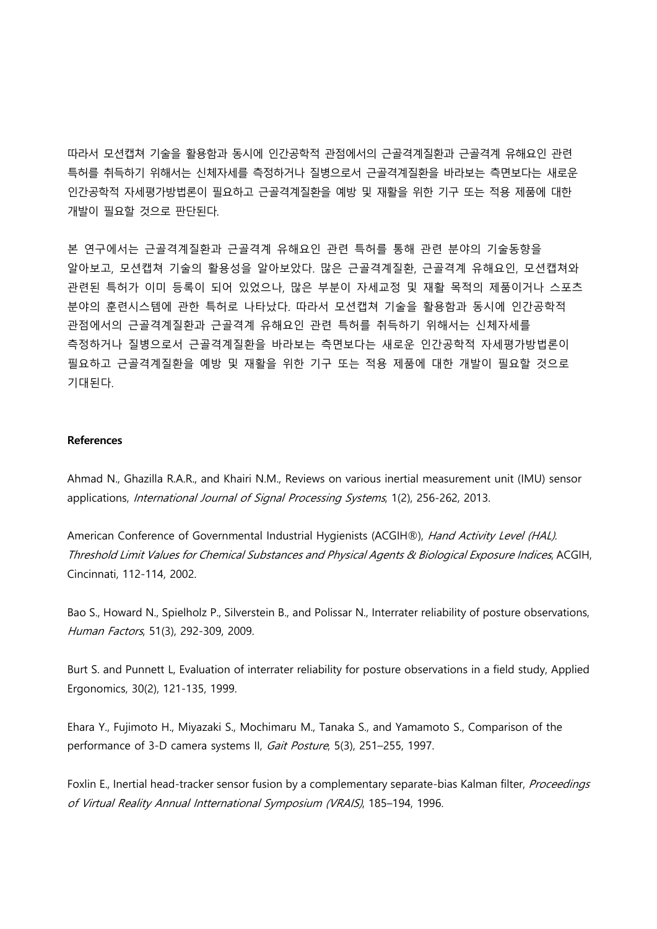따라서 모션캡쳐 기술을 활용함과 동시에 인간공학적 관점에서의 근골격계질환과 근골격계 유해요인 관련 특허를 취득하기 위해서는 신체자세를 측정하거나 질병으로서 근골격계질환을 바라보는 측면보다는 새로운 인간공학적 자세평가방법론이 필요하고 근골격계질환을 예방 및 재활을 위한 기구 또는 적용 제품에 대한 개발이 필요할 것으로 판단된다.

본 연구에서는 근골격계질환과 근골격계 유해요인 관련 특허를 통해 관련 분야의 기술동향을 알아보고, 모션캡쳐 기술의 활용성을 알아보았다. 많은 근골격계질환, 근골격계 유해요인, 모션캡쳐와 관련된 특허가 이미 등록이 되어 있었으나, 많은 부분이 자세교정 및 재활 목적의 제품이거나 스포츠 분야의 훈련시스템에 관한 특허로 나타났다. 따라서 모션캡쳐 기술을 활용함과 동시에 인간공학적 관점에서의 근골격계질환과 근골격계 유해요인 관련 특허를 취득하기 위해서는 신체자세를 측정하거나 질병으로서 근골격계질환을 바라보는 측면보다는 새로운 인간공학적 자세평가방법론이 필요하고 근골격계질환을 예방 및 재활을 위한 기구 또는 적용 제품에 대한 개발이 필요할 것으로 기대된다.

### **References**

Ahmad N., Ghazilla R.A.R., and Khairi N.M., Reviews on various inertial measurement unit (IMU) sensor applications, International Journal of Signal Processing Systems, 1(2), 256-262, 2013.

American Conference of Governmental Industrial Hygienists (ACGIH®), Hand Activity Level (HAL). Threshold Limit Values for Chemical Substances and Physical Agents & Biological Exposure Indices, ACGIH, Cincinnati, 112-114, 2002.

Bao S., Howard N., Spielholz P., Silverstein B., and Polissar N., Interrater reliability of posture observations, Human Factors, 51(3), 292-309, 2009.

Burt S. and Punnett L, Evaluation of interrater reliability for posture observations in a field study, Applied Ergonomics, 30(2), 121-135, 1999.

Ehara Y., Fujimoto H., Miyazaki S., Mochimaru M., Tanaka S., and Yamamoto S., Comparison of the performance of 3-D camera systems II, Gait Posture, 5(3), 251-255, 1997.

Foxlin E., Inertial head-tracker sensor fusion by a complementary separate-bias Kalman filter, Proceedings of Virtual Reality Annual Intternational Symposium (VRAIS), 185–194, 1996.